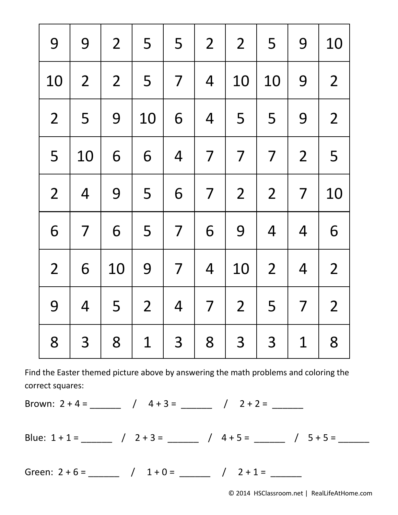| 9              | 9              | $\overline{2}$ | 5              | 5              | $\overline{2}$ | $\overline{2}$ | 5              | 9              | 10             |
|----------------|----------------|----------------|----------------|----------------|----------------|----------------|----------------|----------------|----------------|
| 10             | $\overline{2}$ | $\overline{2}$ | 5              | $\overline{7}$ | $\overline{4}$ | 10             | 10             | 9              | $\overline{2}$ |
| $\overline{2}$ | 5              | 9              | 10             | 6              | $\overline{4}$ | 5              | 5              | 9              | $\overline{2}$ |
| 5              | 10             | 6              | 6              | $\overline{4}$ | $\overline{7}$ | $\overline{7}$ | $\overline{7}$ | $\overline{2}$ | 5              |
| $\overline{2}$ | $\overline{4}$ | 9              | 5              | 6              | 7              | $\overline{2}$ | $\overline{2}$ | $\overline{7}$ | 10             |
| 6              | 7              | 6              | 5              | 7              | 6              | 9              | $\overline{4}$ | $\overline{4}$ | 6              |
| $\overline{2}$ | 6              | 10             | 9              | 7              | $\overline{4}$ | 10             | $\overline{2}$ | $\overline{4}$ | $\overline{2}$ |
| 9              | $\overline{4}$ | 5              | $\overline{2}$ | $\overline{4}$ | $\overline{7}$ | $\overline{2}$ | 5              | $\overline{7}$ | $\overline{2}$ |
| 8              | 3              | 8              | $\mathbf 1$    | 3              | 8              | 3              | 3              | $\mathbf{1}$   | 8              |

Brown: 2 + 4 = \_\_\_\_\_\_ / 4 + 3 = \_\_\_\_\_\_ / 2 + 2 = \_\_\_\_\_\_

Blue:  $1 + 1 =$  \_\_\_\_\_\_ /  $2 + 3 =$  \_\_\_\_\_ /  $4 + 5 =$  \_\_\_\_\_ /  $5 + 5 =$  \_\_\_\_\_

Green:  $2 + 6 =$   $\begin{array}{cccc} 2 & 6 & - \end{array}$   $1 + 0 =$   $\begin{array}{cccc} 2 + 1 & = & \end{array}$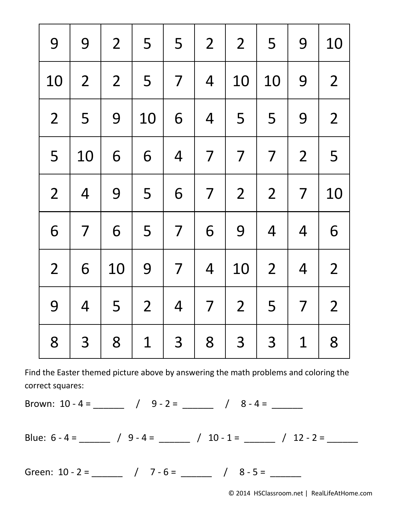| 9              | 9              | $\overline{2}$ | 5              | 5              | $\overline{2}$           | $\overline{2}$ | 5              | 9              | 10             |
|----------------|----------------|----------------|----------------|----------------|--------------------------|----------------|----------------|----------------|----------------|
| 10             | $\overline{2}$ | $\overline{2}$ | 5              | $\overline{7}$ | $\overline{4}$           | 10             | 10             | 9              | $\overline{2}$ |
| $\overline{2}$ | 5              | 9              | 10             | 6              | $\overline{4}$           | 5              | 5              | 9              | $\overline{2}$ |
| 5              | 10             | 6              | 6              | $\overline{4}$ | 7                        | $\overline{7}$ | $\overline{7}$ | $\overline{2}$ | 5              |
| $\overline{2}$ | $\overline{4}$ | 9              | 5              | 6              | $\overline{7}$           | $\overline{2}$ | $\overline{2}$ | $\overline{7}$ | 10             |
| 6              | $\overline{7}$ | 6              | 5              | $\overline{7}$ | 6                        | 9              | $\overline{4}$ | $\overline{4}$ | 6              |
| $\overline{2}$ | 6              | 10             | 9              | $\overline{7}$ | $\overline{4}$           | 10             | $\overline{2}$ | $\overline{4}$ | $\overline{2}$ |
| 9              | $\overline{4}$ | 5              | $\overline{2}$ | $\overline{4}$ | $\overline{\mathcal{L}}$ | $\overline{2}$ | 5              | $\overline{7}$ | $\overline{2}$ |
| 8              | 3              | 8              | $\mathbf 1$    | 3              | 8                        | 3              | 3              | $\mathbf 1$    | 8              |

Brown:  $10 - 4 =$  \_\_\_\_\_\_\_ /  $9 - 2 =$  \_\_\_\_\_ /  $8 - 4 =$  \_\_\_\_\_

Blue:  $6 - 4 =$  \_\_\_\_\_\_\_ /  $9 - 4 =$  \_\_\_\_\_\_ /  $10 - 1 =$  \_\_\_\_\_ /  $12 - 2 =$  \_\_\_\_\_\_

Green: 10 - 2 = \_\_\_\_\_\_ / 7 - 6 = \_\_\_\_\_\_ / 8 - 5 = \_\_\_\_\_\_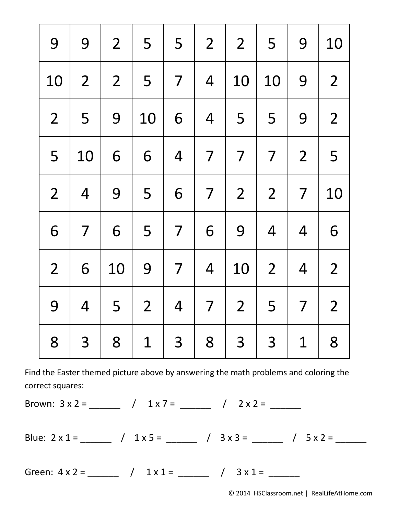| 9              | 9              | $\overline{2}$ | 5              | 5              | $\overline{2}$           | $\overline{2}$ | 5              | 9              | 10             |
|----------------|----------------|----------------|----------------|----------------|--------------------------|----------------|----------------|----------------|----------------|
| 10             | $\overline{2}$ | $\overline{2}$ | 5              | $\overline{7}$ | $\overline{4}$           | 10             | 10             | 9              | $\overline{2}$ |
| $\overline{2}$ | 5              | 9              | 10             | 6              | $\overline{4}$           | 5              | 5              | 9              | $\overline{2}$ |
| 5              | 10             | 6              | 6              | $\overline{4}$ | 7                        | $\overline{7}$ | $\overline{7}$ | $\overline{2}$ | 5              |
| $\overline{2}$ | $\overline{4}$ | 9              | 5              | 6              | $\overline{7}$           | $\overline{2}$ | $\overline{2}$ | $\overline{7}$ | 10             |
| 6              | $\overline{7}$ | 6              | 5              | $\overline{7}$ | 6                        | 9              | $\overline{4}$ | $\overline{4}$ | 6              |
| $\overline{2}$ | 6              | 10             | 9              | $\overline{7}$ | $\overline{4}$           | 10             | $\overline{2}$ | $\overline{4}$ | $\overline{2}$ |
| 9              | $\overline{4}$ | 5              | $\overline{2}$ | $\overline{4}$ | $\overline{\mathcal{L}}$ | $\overline{2}$ | 5              | $\overline{7}$ | $\overline{2}$ |
| 8              | 3              | 8              | $\mathbf 1$    | 3              | 8                        | 3              | 3              | $\mathbf 1$    | 8              |

Brown: 3 x 2 = \_\_\_\_\_\_ / 1 x 7 = \_\_\_\_\_\_ / 2 x 2 = \_\_\_\_\_\_

Blue:  $2 \times 1 =$  \_\_\_\_\_\_ /  $1 \times 5 =$  \_\_\_\_\_ /  $3 \times 3 =$  \_\_\_\_\_ /  $5 \times 2 =$  \_\_\_\_\_

Green:  $4 \times 2 =$   $\begin{array}{cccc} 4 \times 2 = 1 \end{array}$   $1 \times 1 =$   $\begin{array}{cccc} 1 \times 1 = 1 \end{array}$   $1 \times 1 =$   $1 \times 1 =$   $1 \times 1 =$   $1 \times 1 =$   $1 \times 1 =$   $1 \times 1 =$   $1 \times 1 =$   $1 \times 1 =$   $1 \times 1 =$   $1 \times 1 =$   $1 \times 1 =$   $1 \times 1 =$   $1 \times 1 =$   $1 \times 1 =$   $1 \times 1 =$   $1 \times 1 =$   $1 \times$